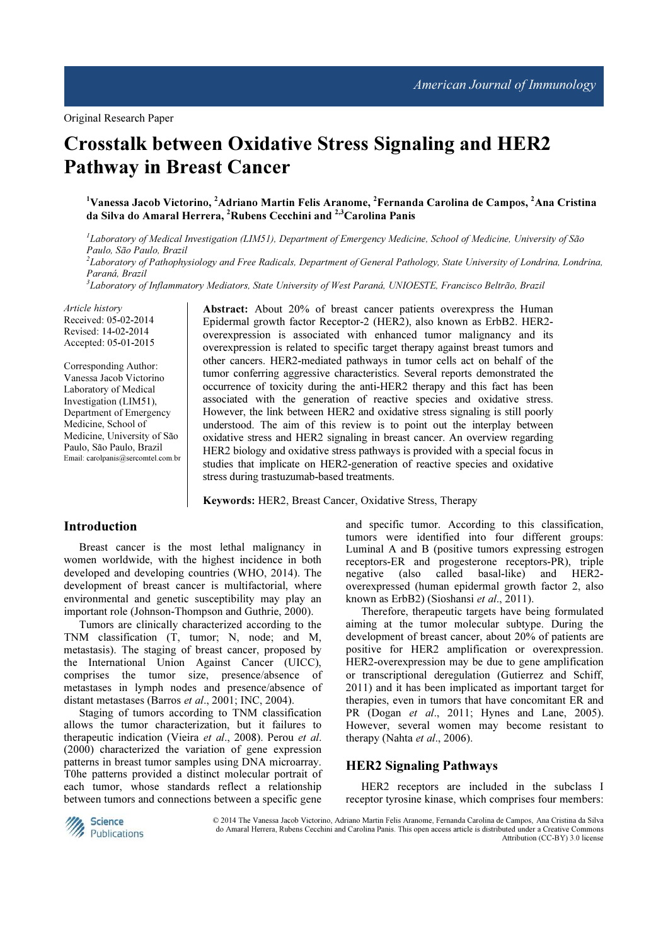# Crosstalk between Oxidative Stress Signaling and HER2 Pathway in Breast Cancer

## <sup>1</sup>Vanessa Jacob Victorino, <sup>2</sup>Adriano Martin Felis Aranome, <sup>2</sup>Fernanda Carolina de Campos, <sup>2</sup>Ana Cristina da Silva do Amaral Herrera, <sup>2</sup>Rubens Cecchini and <sup>2,3</sup>Carolina Panis

<sup>1</sup>Laboratory of Medical Investigation (LIM51), Department of Emergency Medicine, School of Medicine, University of São Paulo, São Paulo, Brazil <sup>2</sup>Laboratory of Pathophysiology and Free Radicals, Department of General Pathology, State University of Londrina, Londrina, Paraná, Brazil <sup>3</sup>Laboratory of Inflammatory Mediators, State University of West Paraná, UNIOESTE, Francisco Beltrão, Brazil

Article history Received: 05-02-2014 Revised: 14-02-2014 Accepted: 05-01-2015

Corresponding Author: Vanessa Jacob Victorino Laboratory of Medical Investigation (LIM51), Department of Emergency Medicine, School of Medicine, University of São Paulo, São Paulo, Brazil Email: carolpanis@sercomtel.com.br Abstract: About 20% of breast cancer patients overexpress the Human Epidermal growth factor Receptor-2 (HER2), also known as ErbB2. HER2 overexpression is associated with enhanced tumor malignancy and its overexpression is related to specific target therapy against breast tumors and other cancers. HER2-mediated pathways in tumor cells act on behalf of the tumor conferring aggressive characteristics. Several reports demonstrated the occurrence of toxicity during the anti-HER2 therapy and this fact has been associated with the generation of reactive species and oxidative stress. However, the link between HER2 and oxidative stress signaling is still poorly understood. The aim of this review is to point out the interplay between oxidative stress and HER2 signaling in breast cancer. An overview regarding HER2 biology and oxidative stress pathways is provided with a special focus in studies that implicate on HER2-generation of reactive species and oxidative stress during trastuzumab-based treatments.

Keywords: HER2, Breast Cancer, Oxidative Stress, Therapy

## Introduction

Breast cancer is the most lethal malignancy in women worldwide, with the highest incidence in both developed and developing countries (WHO, 2014). The development of breast cancer is multifactorial, where environmental and genetic susceptibility may play an important role (Johnson-Thompson and Guthrie, 2000).

Tumors are clinically characterized according to the TNM classification (T, tumor; N, node; and M, metastasis). The staging of breast cancer, proposed by the International Union Against Cancer (UICC), comprises the tumor size, presence/absence of metastases in lymph nodes and presence/absence of distant metastases (Barros et al., 2001; INC, 2004).

Staging of tumors according to TNM classification allows the tumor characterization, but it failures to therapeutic indication (Vieira et al., 2008). Perou et al. (2000) characterized the variation of gene expression patterns in breast tumor samples using DNA microarray. T0he patterns provided a distinct molecular portrait of each tumor, whose standards reflect a relationship between tumors and connections between a specific gene and specific tumor. According to this classification, tumors were identified into four different groups: Luminal A and B (positive tumors expressing estrogen receptors-ER and progesterone receptors-PR), triple<br>negative (also called basal-like) and HER2basal-like) overexpressed (human epidermal growth factor 2, also known as ErbB2) (Sioshansi et al., 2011).

Therefore, therapeutic targets have being formulated aiming at the tumor molecular subtype. During the development of breast cancer, about 20% of patients are positive for HER2 amplification or overexpression. HER2-overexpression may be due to gene amplification or transcriptional deregulation (Gutierrez and Schiff, 2011) and it has been implicated as important target for therapies, even in tumors that have concomitant ER and PR (Dogan et al., 2011; Hynes and Lane, 2005). However, several women may become resistant to therapy (Nahta et al., 2006).

### HER2 Signaling Pathways

HER2 receptors are included in the subclass I receptor tyrosine kinase, which comprises four members:



 © 2014 The Vanessa Jacob Victorino, Adriano Martin Felis Aranome, Fernanda Carolina de Campos, Ana Cristina da Silva do Amaral Herrera, Rubens Cecchini and Carolina Panis. This open access article is distributed under a Creative Commons Attribution (CC-BY) 3.0 license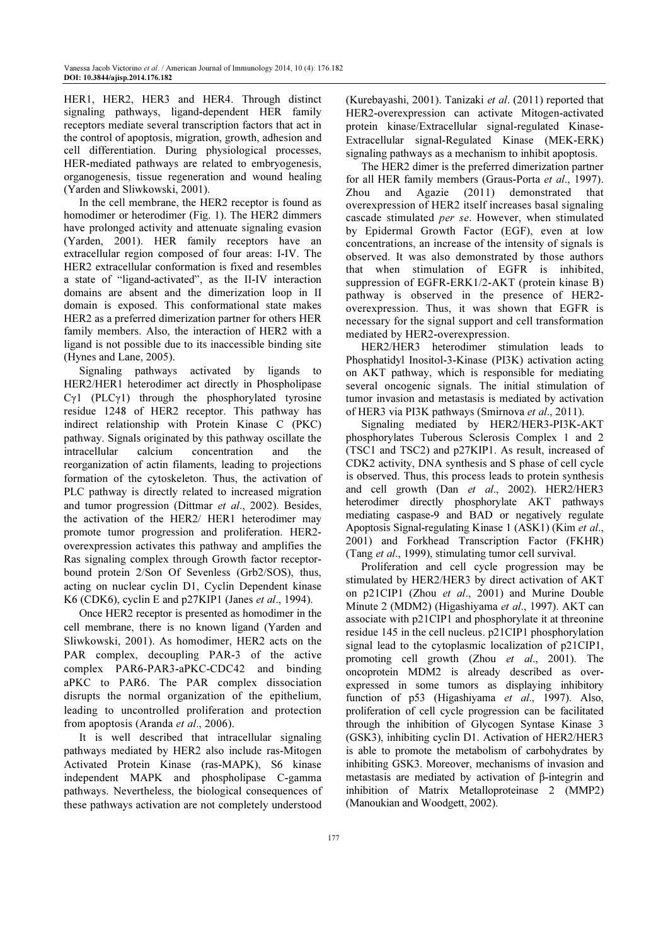HER1, HER2, HER3 and HER4. Through distinct signaling pathways, ligand-dependent HER family receptors mediate several transcription factors that act in the control of apoptosis, migration, growth, adhesion and cell differentiation. During physiological processes, HER-mediated pathways are related to embryogenesis, organogenesis, tissue regeneration and wound healing (Yarden and Sliwkowski, 2001).

In the cell membrane, the HER2 receptor is found as homodimer or heterodimer (Fig. 1). The HER2 dimmers have prolonged activity and attenuate signaling evasion (Yarden, 2001). HER family receptors have an extracellular region composed of four areas: I-IV. The HER2 extracellular conformation is fixed and resembles a state of "ligand-activated", as the II-IV interaction domains are absent and the dimerization loop in II domain is exposed. This conformational state makes HER2 as a preferred dimerization partner for others HER family members. Also, the interaction of HER2 with a ligand is not possible due to its inaccessible binding site (Hynes and Lane, 2005).

Signaling pathways activated by ligands to HER2/HER1 heterodimer act directly in Phospholipase Cγ1 (PLCγ1) through the phosphorylated tyrosine residue 1248 of HER2 receptor. This pathway has indirect relationship with Protein Kinase C (PKC) pathway. Signals originated by this pathway oscillate the intracellular calcium concentration and the reorganization of actin filaments, leading to projections formation of the cytoskeleton. Thus, the activation of PLC pathway is directly related to increased migration and tumor progression (Dittmar et al., 2002). Besides, the activation of the HER2/ HER1 heterodimer may promote tumor progression and proliferation. HER2 overexpression activates this pathway and amplifies the Ras signaling complex through Growth factor receptorbound protein 2/Son Of Sevenless (Grb2/SOS), thus, acting on nuclear cyclin D1, Cyclin Dependent kinase K6 (CDK6), cyclin E and p27KIP1 (Janes et al., 1994).

Once HER2 receptor is presented as homodimer in the cell membrane, there is no known ligand (Yarden and Sliwkowski, 2001). As homodimer, HER2 acts on the PAR complex, decoupling PAR-3 of the active complex PAR6-PAR3-aPKC-CDC42 and binding aPKC to PAR6. The PAR complex dissociation disrupts the normal organization of the epithelium, leading to uncontrolled proliferation and protection from apoptosis (Aranda *et al.*, 2006).

It is well described that intracellular signaling pathways mediated by HER2 also include ras-Mitogen Activated Protein Kinase (ras-MAPK), S6 kinase independent MAPK and phospholipase C-gamma pathways. Nevertheless, the biological consequences of these pathways activation are not completely understood

(Kurebayashi, 2001). Tanizaki et al. (2011) reported that HER2-overexpression can activate Mitogen-activated protein kinase/Extracellular signal-regulated Kinase-Extracellular signal-Regulated Kinase (MEK-ERK) signaling pathways as a mechanism to inhibit apoptosis.

The HER2 dimer is the preferred dimerization partner for all HER family members (Graus-Porta et al., 1997). Zhou and Agazie (2011) demonstrated that overexpression of HER2 itself increases basal signaling cascade stimulated per se. However, when stimulated by Epidermal Growth Factor (EGF), even at low concentrations, an increase of the intensity of signals is observed. It was also demonstrated by those authors that when stimulation of EGFR is inhibited, suppression of EGFR-ERK1/2-AKT (protein kinase B) pathway is observed in the presence of HER2 overexpression. Thus, it was shown that EGFR is necessary for the signal support and cell transformation mediated by HER2-overexpression.

HER2/HER3 heterodimer stimulation leads to Phosphatidyl Inositol-3-Kinase (PI3K) activation acting on AKT pathway, which is responsible for mediating several oncogenic signals. The initial stimulation of tumor invasion and metastasis is mediated by activation of HER3 via PI3K pathways (Smirnova et al., 2011).

Signaling mediated by HER2/HER3-PI3K-AKT phosphorylates Tuberous Sclerosis Complex 1 and 2 (TSC1 and TSC2) and p27KIP1. As result, increased of CDK2 activity, DNA synthesis and S phase of cell cycle is observed. Thus, this process leads to protein synthesis and cell growth (Dan et al., 2002). HER2/HER3 heterodimer directly phosphorylate AKT pathways mediating caspase-9 and BAD or negatively regulate Apoptosis Signal-regulating Kinase 1 (ASK1) (Kim et al., 2001) and Forkhead Transcription Factor (FKHR) (Tang et al., 1999), stimulating tumor cell survival.

Proliferation and cell cycle progression may be stimulated by HER2/HER3 by direct activation of AKT on p21CIP1 (Zhou et al., 2001) and Murine Double Minute 2 (MDM2) (Higashiyama et al., 1997). AKT can associate with p21CIP1 and phosphorylate it at threonine residue 145 in the cell nucleus. p21CIP1 phosphorylation signal lead to the cytoplasmic localization of p21CIP1, promoting cell growth (Zhou et al., 2001). The oncoprotein MDM2 is already described as overexpressed in some tumors as displaying inhibitory function of p53 (Higashiyama et al., 1997). Also, proliferation of cell cycle progression can be facilitated through the inhibition of Glycogen Syntase Kinase 3 (GSK3), inhibiting cyclin D1. Activation of HER2/HER3 is able to promote the metabolism of carbohydrates by inhibiting GSK3. Moreover, mechanisms of invasion and metastasis are mediated by activation of β-integrin and inhibition of Matrix Metalloproteinase 2 (MMP2) (Manoukian and Woodgett, 2002).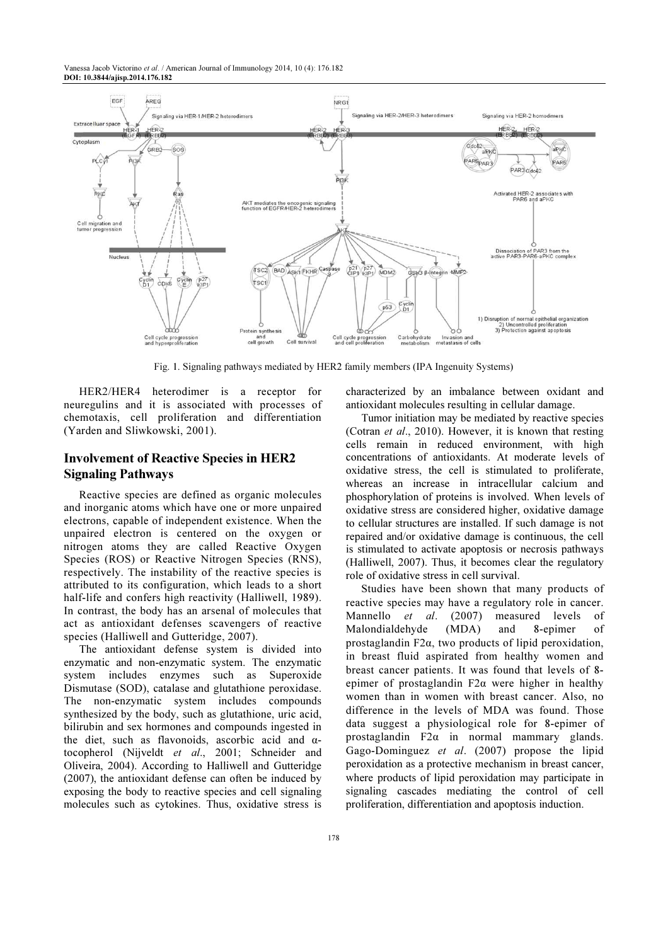Vanessa Jacob Victorino et al. / American Journal of Immunology 2014, 10 (4): 176.182 DOI: 10.3844/ajisp.2014.176.182



Fig. 1. Signaling pathways mediated by HER2 family members (IPA Ingenuity Systems)

HER2/HER4 heterodimer is a receptor for neuregulins and it is associated with processes of chemotaxis, cell proliferation and differentiation (Yarden and Sliwkowski, 2001).

# Involvement of Reactive Species in HER2 Signaling Pathways

Reactive species are defined as organic molecules and inorganic atoms which have one or more unpaired electrons, capable of independent existence. When the unpaired electron is centered on the oxygen or nitrogen atoms they are called Reactive Oxygen Species (ROS) or Reactive Nitrogen Species (RNS), respectively. The instability of the reactive species is attributed to its configuration, which leads to a short half-life and confers high reactivity (Halliwell, 1989). In contrast, the body has an arsenal of molecules that act as antioxidant defenses scavengers of reactive species (Halliwell and Gutteridge, 2007).

The antioxidant defense system is divided into enzymatic and non-enzymatic system. The enzymatic system includes enzymes such as Superoxide Dismutase (SOD), catalase and glutathione peroxidase. The non-enzymatic system includes compounds synthesized by the body, such as glutathione, uric acid, bilirubin and sex hormones and compounds ingested in the diet, such as flavonoids, ascorbic acid and  $\alpha$ tocopherol (Nijveldt et al., 2001; Schneider and Oliveira, 2004). According to Halliwell and Gutteridge (2007), the antioxidant defense can often be induced by exposing the body to reactive species and cell signaling molecules such as cytokines. Thus, oxidative stress is characterized by an imbalance between oxidant and antioxidant molecules resulting in cellular damage.

Tumor initiation may be mediated by reactive species (Cotran et al., 2010). However, it is known that resting cells remain in reduced environment, with high concentrations of antioxidants. At moderate levels of oxidative stress, the cell is stimulated to proliferate, whereas an increase in intracellular calcium and phosphorylation of proteins is involved. When levels of oxidative stress are considered higher, oxidative damage to cellular structures are installed. If such damage is not repaired and/or oxidative damage is continuous, the cell is stimulated to activate apoptosis or necrosis pathways (Halliwell, 2007). Thus, it becomes clear the regulatory role of oxidative stress in cell survival.

Studies have been shown that many products of reactive species may have a regulatory role in cancer. Mannello et al. (2007) measured levels of Malondialdehyde (MDA) and 8-epimer of prostaglandin F2α, two products of lipid peroxidation, in breast fluid aspirated from healthy women and breast cancer patients. It was found that levels of 8 epimer of prostaglandin F2α were higher in healthy women than in women with breast cancer. Also, no difference in the levels of MDA was found. Those data suggest a physiological role for 8-epimer of prostaglandin F2α in normal mammary glands. Gago-Dominguez et al. (2007) propose the lipid peroxidation as a protective mechanism in breast cancer, where products of lipid peroxidation may participate in signaling cascades mediating the control of cell proliferation, differentiation and apoptosis induction.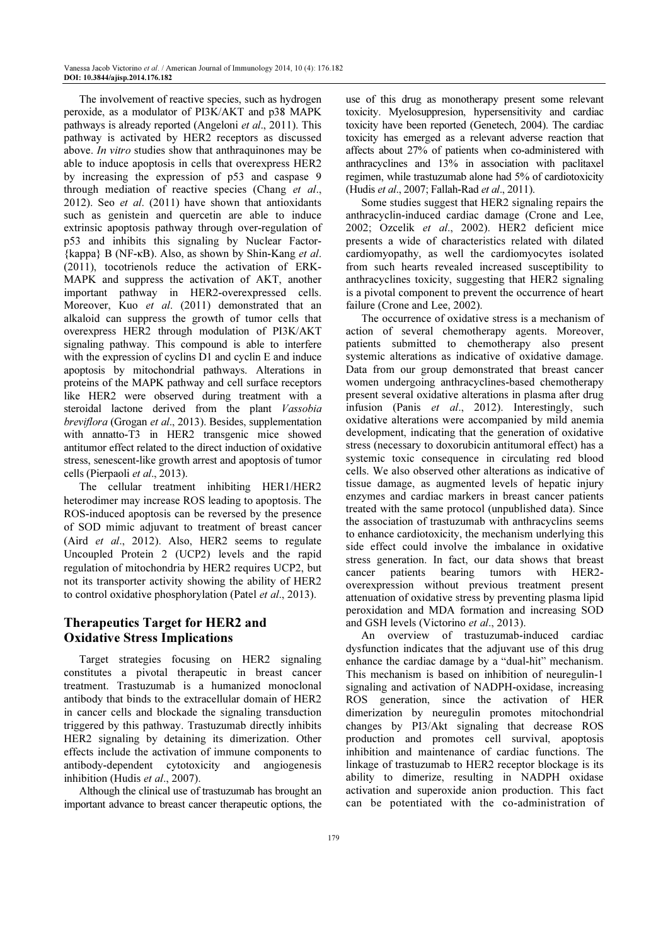The involvement of reactive species, such as hydrogen peroxide, as a modulator of PI3K/AKT and p38 MAPK pathways is already reported (Angeloni *et al.*, 2011). This pathway is activated by HER2 receptors as discussed above. In vitro studies show that anthraquinones may be able to induce apoptosis in cells that overexpress HER2 by increasing the expression of p53 and caspase 9 through mediation of reactive species (Chang et al., 2012). Seo et al. (2011) have shown that antioxidants such as genistein and quercetin are able to induce extrinsic apoptosis pathway through over-regulation of p53 and inhibits this signaling by Nuclear Factor-  $\{kappa\}$  B (NF- $\kappa$ B). Also, as shown by Shin-Kang *et al.* (2011), tocotrienols reduce the activation of ERK-MAPK and suppress the activation of AKT, another important pathway in HER2-overexpressed cells. Moreover, Kuo et al. (2011) demonstrated that an alkaloid can suppress the growth of tumor cells that overexpress HER2 through modulation of PI3K/AKT signaling pathway. This compound is able to interfere with the expression of cyclins D1 and cyclin E and induce apoptosis by mitochondrial pathways. Alterations in proteins of the MAPK pathway and cell surface receptors like HER2 were observed during treatment with a steroidal lactone derived from the plant Vassobia breviflora (Grogan et al., 2013). Besides, supplementation with annatto-T3 in HER2 transgenic mice showed antitumor effect related to the direct induction of oxidative stress, senescent-like growth arrest and apoptosis of tumor cells (Pierpaoli et al., 2013).

The cellular treatment inhibiting HER1/HER2 heterodimer may increase ROS leading to apoptosis. The ROS-induced apoptosis can be reversed by the presence of SOD mimic adjuvant to treatment of breast cancer (Aird et al., 2012). Also, HER2 seems to regulate Uncoupled Protein 2 (UCP2) levels and the rapid regulation of mitochondria by HER2 requires UCP2, but not its transporter activity showing the ability of HER2 to control oxidative phosphorylation (Patel et al., 2013).

# Therapeutics Target for HER2 and Oxidative Stress Implications

Target strategies focusing on HER2 signaling constitutes a pivotal therapeutic in breast cancer treatment. Trastuzumab is a humanized monoclonal antibody that binds to the extracellular domain of HER2 in cancer cells and blockade the signaling transduction triggered by this pathway. Trastuzumab directly inhibits HER2 signaling by detaining its dimerization. Other effects include the activation of immune components to antibody-dependent cytotoxicity and angiogenesis inhibition (Hudis et al., 2007).

Although the clinical use of trastuzumab has brought an important advance to breast cancer therapeutic options, the

use of this drug as monotherapy present some relevant toxicity. Myelosuppresion, hypersensitivity and cardiac toxicity have been reported (Genetech, 2004). The cardiac toxicity has emerged as a relevant adverse reaction that affects about 27% of patients when co-administered with anthracyclines and 13% in association with paclitaxel regimen, while trastuzumab alone had 5% of cardiotoxicity (Hudis et al., 2007; Fallah-Rad et al., 2011).

Some studies suggest that HER2 signaling repairs the anthracyclin-induced cardiac damage (Crone and Lee, 2002; Ozcelik et al., 2002). HER2 deficient mice presents a wide of characteristics related with dilated cardiomyopathy, as well the cardiomyocytes isolated from such hearts revealed increased susceptibility to anthracyclines toxicity, suggesting that HER2 signaling is a pivotal component to prevent the occurrence of heart failure (Crone and Lee, 2002).

The occurrence of oxidative stress is a mechanism of action of several chemotherapy agents. Moreover, patients submitted to chemotherapy also present systemic alterations as indicative of oxidative damage. Data from our group demonstrated that breast cancer women undergoing anthracyclines-based chemotherapy present several oxidative alterations in plasma after drug infusion (Panis et al., 2012). Interestingly, such oxidative alterations were accompanied by mild anemia development, indicating that the generation of oxidative stress (necessary to doxorubicin antitumoral effect) has a systemic toxic consequence in circulating red blood cells. We also observed other alterations as indicative of tissue damage, as augmented levels of hepatic injury enzymes and cardiac markers in breast cancer patients treated with the same protocol (unpublished data). Since the association of trastuzumab with anthracyclins seems to enhance cardiotoxicity, the mechanism underlying this side effect could involve the imbalance in oxidative stress generation. In fact, our data shows that breast cancer patients bearing tumors with HER2 overexpression without previous treatment present attenuation of oxidative stress by preventing plasma lipid peroxidation and MDA formation and increasing SOD and GSH levels (Victorino et al., 2013).

An overview of trastuzumab-induced cardiac dysfunction indicates that the adjuvant use of this drug enhance the cardiac damage by a "dual-hit" mechanism. This mechanism is based on inhibition of neuregulin-1 signaling and activation of NADPH-oxidase, increasing ROS generation, since the activation of HER dimerization by neuregulin promotes mitochondrial changes by PI3/Akt signaling that decrease ROS production and promotes cell survival, apoptosis inhibition and maintenance of cardiac functions. The linkage of trastuzumab to HER2 receptor blockage is its ability to dimerize, resulting in NADPH oxidase activation and superoxide anion production. This fact can be potentiated with the co-administration of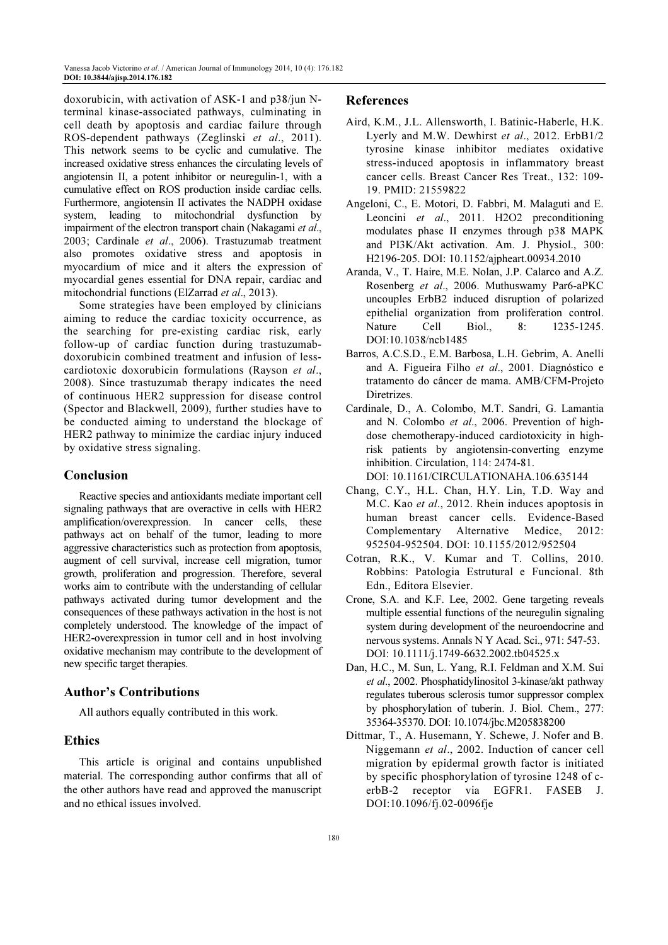doxorubicin, with activation of ASK-1 and p38/jun Nterminal kinase-associated pathways, culminating in cell death by apoptosis and cardiac failure through ROS-dependent pathways (Zeglinski et al., 2011). This network seems to be cyclic and cumulative. The increased oxidative stress enhances the circulating levels of angiotensin II, a potent inhibitor or neuregulin-1, with a cumulative effect on ROS production inside cardiac cells. Furthermore, angiotensin II activates the NADPH oxidase system, leading to mitochondrial dysfunction by impairment of the electron transport chain (Nakagami et al., 2003; Cardinale et al., 2006). Trastuzumab treatment also promotes oxidative stress and apoptosis in myocardium of mice and it alters the expression of myocardial genes essential for DNA repair, cardiac and mitochondrial functions (ElZarrad et al., 2013).

Some strategies have been employed by clinicians aiming to reduce the cardiac toxicity occurrence, as the searching for pre-existing cardiac risk, early follow-up of cardiac function during trastuzumabdoxorubicin combined treatment and infusion of lesscardiotoxic doxorubicin formulations (Rayson et al., 2008). Since trastuzumab therapy indicates the need of continuous HER2 suppression for disease control (Spector and Blackwell, 2009), further studies have to be conducted aiming to understand the blockage of HER2 pathway to minimize the cardiac injury induced by oxidative stress signaling.

## Conclusion

Reactive species and antioxidants mediate important cell signaling pathways that are overactive in cells with HER2 amplification/overexpression. In cancer cells, these pathways act on behalf of the tumor, leading to more aggressive characteristics such as protection from apoptosis, augment of cell survival, increase cell migration, tumor growth, proliferation and progression. Therefore, several works aim to contribute with the understanding of cellular pathways activated during tumor development and the consequences of these pathways activation in the host is not completely understood. The knowledge of the impact of HER2-overexpression in tumor cell and in host involving oxidative mechanism may contribute to the development of new specific target therapies.

# Author's Contributions

All authors equally contributed in this work.

## Ethics

This article is original and contains unpublished material. The corresponding author confirms that all of the other authors have read and approved the manuscript and no ethical issues involved.

#### References

- Aird, K.M., J.L. Allensworth, I. Batinic-Haberle, H.K. Lyerly and M.W. Dewhirst et al., 2012. ErbB1/2 tyrosine kinase inhibitor mediates oxidative stress-induced apoptosis in inflammatory breast cancer cells. Breast Cancer Res Treat., 132: 109- 19. PMID: 21559822
- Angeloni, C., E. Motori, D. Fabbri, M. Malaguti and E. Leoncini et al., 2011. H2O2 preconditioning modulates phase II enzymes through p38 MAPK and PI3K/Akt activation. Am. J. Physiol., 300: H2196-205. DOI: 10.1152/ajpheart.00934.2010
- Aranda, V., T. Haire, M.E. Nolan, J.P. Calarco and A.Z. Rosenberg et al., 2006. Muthuswamy Par6-aPKC uncouples ErbB2 induced disruption of polarized epithelial organization from proliferation control. Nature Cell Biol., 8: 1235-1245. DOI:10.1038/ncb1485
- Barros, A.C.S.D., E.M. Barbosa, L.H. Gebrim, A. Anelli and A. Figueira Filho et al., 2001. Diagnóstico e tratamento do câncer de mama. AMB/CFM-Projeto Diretrizes.
- Cardinale, D., A. Colombo, M.T. Sandri, G. Lamantia and N. Colombo et al., 2006. Prevention of highdose chemotherapy-induced cardiotoxicity in highrisk patients by angiotensin-converting enzyme inhibition. Circulation, 114: 2474-81.

DOI: 10.1161/CIRCULATIONAHA.106.635144

- Chang, C.Y., H.L. Chan, H.Y. Lin, T.D. Way and M.C. Kao et al., 2012. Rhein induces apoptosis in human breast cancer cells. Evidence-Based Complementary Alternative Medice, 2012: 952504-952504. DOI: 10.1155/2012/952504
- Cotran, R.K., V. Kumar and T. Collins, 2010. Robbins: Patologia Estrutural e Funcional. 8th Edn., Editora Elsevier.
- Crone, S.A. and K.F. Lee, 2002. Gene targeting reveals multiple essential functions of the neuregulin signaling system during development of the neuroendocrine and nervous systems. Annals N Y Acad. Sci., 971: 547-53. DOI: 10.1111/j.1749-6632.2002.tb04525.x
- Dan, H.C., M. Sun, L. Yang, R.I. Feldman and X.M. Sui et al., 2002. Phosphatidylinositol 3-kinase/akt pathway regulates tuberous sclerosis tumor suppressor complex by phosphorylation of tuberin. J. Biol. Chem., 277: 35364-35370. DOI: 10.1074/jbc.M205838200
- Dittmar, T., A. Husemann, Y. Schewe, J. Nofer and B. Niggemann et al., 2002. Induction of cancer cell migration by epidermal growth factor is initiated by specific phosphorylation of tyrosine 1248 of cerbB-2 receptor via EGFR1. FASEB J. DOI:10.1096/fj.02-0096fje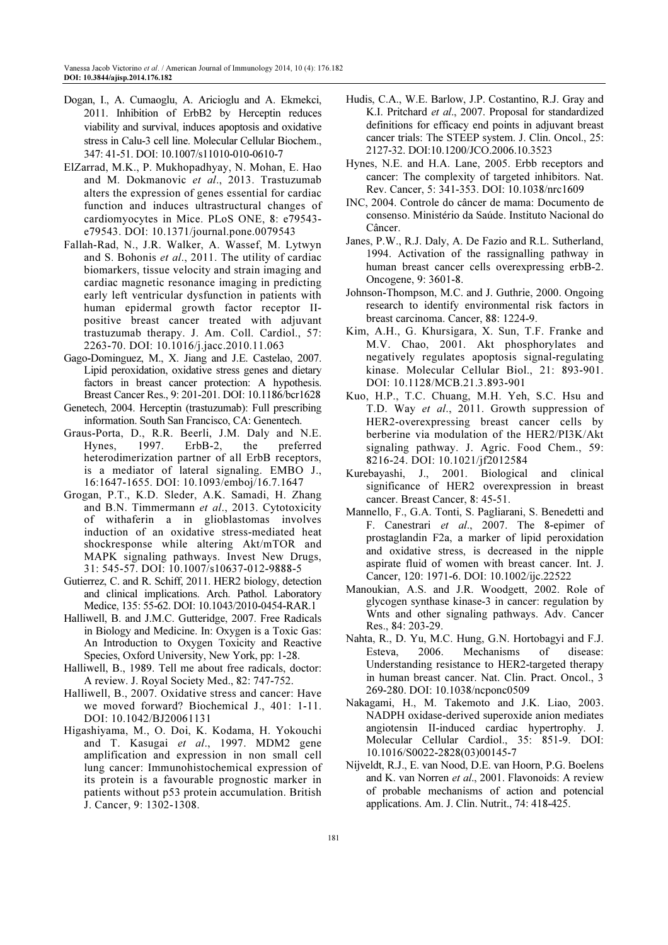- Dogan, I., A. Cumaoglu, A. Aricioglu and A. Ekmekci, 2011. Inhibition of ErbB2 by Herceptin reduces viability and survival, induces apoptosis and oxidative stress in Calu-3 cell line. Molecular Cellular Biochem., 347: 41-51. DOI: 10.1007/s11010-010-0610-7
- ElZarrad, M.K., P. Mukhopadhyay, N. Mohan, E. Hao and M. Dokmanovic et al., 2013. Trastuzumab alters the expression of genes essential for cardiac function and induces ultrastructural changes of cardiomyocytes in Mice. PLoS ONE, 8: e79543 e79543. DOI: 10.1371/journal.pone.0079543
- Fallah-Rad, N., J.R. Walker, A. Wassef, M. Lytwyn and S. Bohonis et al., 2011. The utility of cardiac biomarkers, tissue velocity and strain imaging and cardiac magnetic resonance imaging in predicting early left ventricular dysfunction in patients with human epidermal growth factor receptor IIpositive breast cancer treated with adjuvant trastuzumab therapy. J. Am. Coll. Cardiol., 57: 2263-70. DOI: 10.1016/j.jacc.2010.11.063
- Gago-Dominguez, M., X. Jiang and J.E. Castelao, 2007. Lipid peroxidation, oxidative stress genes and dietary factors in breast cancer protection: A hypothesis. Breast Cancer Res., 9: 201-201. DOI: 10.1186/bcr1628
- Genetech, 2004. Herceptin (trastuzumab): Full prescribing information. South San Francisco, CA: Genentech.
- Graus-Porta, D., R.R. Beerli, J.M. Daly and N.E. Hynes, 1997. ErbB-2, the preferred heterodimerization partner of all ErbB receptors, is a mediator of lateral signaling. EMBO J., 16:1647-1655. DOI: 10.1093/emboj/16.7.1647
- Grogan, P.T., K.D. Sleder, A.K. Samadi, H. Zhang and B.N. Timmermann et al., 2013. Cytotoxicity of withaferin a in glioblastomas involves induction of an oxidative stress-mediated heat shockresponse while altering Akt/mTOR and MAPK signaling pathways. Invest New Drugs, 31: 545-57. DOI: 10.1007/s10637-012-9888-5
- Gutierrez, C. and R. Schiff, 2011. HER2 biology, detection and clinical implications. Arch. Pathol. Laboratory Medice, 135: 55-62. DOI: 10.1043/2010-0454-RAR.1
- Halliwell, B. and J.M.C. Gutteridge, 2007. Free Radicals in Biology and Medicine. In: Oxygen is a Toxic Gas: An Introduction to Oxygen Toxicity and Reactive Species, Oxford University, New York, pp: 1-28.
- Halliwell, B., 1989. Tell me about free radicals, doctor: A review. J. Royal Society Med., 82: 747-752.
- Halliwell, B., 2007. Oxidative stress and cancer: Have we moved forward? Biochemical J., 401: 1-11. DOI: 10.1042/BJ20061131
- Higashiyama, M., O. Doi, K. Kodama, H. Yokouchi and T. Kasugai et al., 1997. MDM2 gene amplification and expression in non small cell lung cancer: Immunohistochemical expression of its protein is a favourable prognostic marker in patients without p53 protein accumulation. British J. Cancer, 9: 1302-1308.
- Hudis, C.A., W.E. Barlow, J.P. Costantino, R.J. Gray and K.I. Pritchard et al., 2007. Proposal for standardized definitions for efficacy end points in adjuvant breast cancer trials: The STEEP system. J. Clin. Oncol., 25: 2127-32. DOI:10.1200/JCO.2006.10.3523
- Hynes, N.E. and H.A. Lane, 2005. Erbb receptors and cancer: The complexity of targeted inhibitors. Nat. Rev. Cancer, 5: 341-353. DOI: 10.1038/nrc1609
- INC, 2004. Controle do câncer de mama: Documento de consenso. Ministério da Saúde. Instituto Nacional do Câncer.
- Janes, P.W., R.J. Daly, A. De Fazio and R.L. Sutherland, 1994. Activation of the rassignalling pathway in human breast cancer cells overexpressing erbB-2. Oncogene, 9: 3601-8.
- Johnson-Thompson, M.C. and J. Guthrie, 2000. Ongoing research to identify environmental risk factors in breast carcinoma. Cancer, 88: 1224-9.
- Kim, A.H., G. Khursigara, X. Sun, T.F. Franke and M.V. Chao, 2001. Akt phosphorylates and negatively regulates apoptosis signal-regulating kinase. Molecular Cellular Biol., 21: 893-901. DOI: 10.1128/MCB.21.3.893-901
- Kuo, H.P., T.C. Chuang, M.H. Yeh, S.C. Hsu and T.D. Way et al., 2011. Growth suppression of HER2-overexpressing breast cancer cells by berberine via modulation of the HER2/PI3K/Akt signaling pathway. J. Agric. Food Chem., 59: 8216-24. DOI: 10.1021/jf2012584
- Kurebayashi, J., 2001. Biological and clinical significance of HER2 overexpression in breast cancer. Breast Cancer, 8: 45-51.
- Mannello, F., G.A. Tonti, S. Pagliarani, S. Benedetti and F. Canestrari et al., 2007. The 8-epimer of prostaglandin F2a, a marker of lipid peroxidation and oxidative stress, is decreased in the nipple aspirate fluid of women with breast cancer. Int. J. Cancer, 120: 1971-6. DOI: 10.1002/ijc.22522
- Manoukian, A.S. and J.R. Woodgett, 2002. Role of glycogen synthase kinase-3 in cancer: regulation by Wnts and other signaling pathways. Adv. Cancer Res., 84: 203-29.
- Nahta, R., D. Yu, M.C. Hung, G.N. Hortobagyi and F.J. Esteva, 2006. Mechanisms of disease: Understanding resistance to HER2-targeted therapy in human breast cancer. Nat. Clin. Pract. Oncol., 3 269-280. DOI: 10.1038/ncponc0509
- Nakagami, H., M. Takemoto and J.K. Liao, 2003. NADPH oxidase-derived superoxide anion mediates angiotensin II-induced cardiac hypertrophy. J. Molecular Cellular Cardiol., 35: 851-9. DOI: 10.1016/S0022-2828(03)00145-7
- Nijveldt, R.J., E. van Nood, D.E. van Hoorn, P.G. Boelens and K. van Norren et al., 2001. Flavonoids: A review of probable mechanisms of action and potencial applications. Am. J. Clin. Nutrit., 74: 418-425.